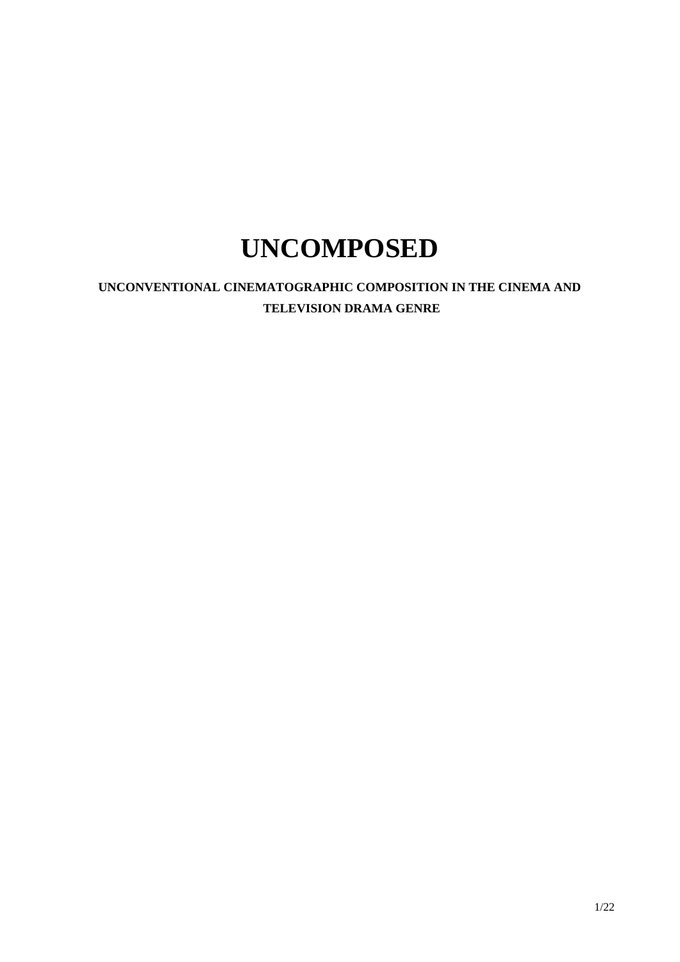# **UNCOMPOSED**

**UNCONVENTIONAL CINEMATOGRAPHIC COMPOSITION IN THE CINEMA AND TELEVISION DRAMA GENRE**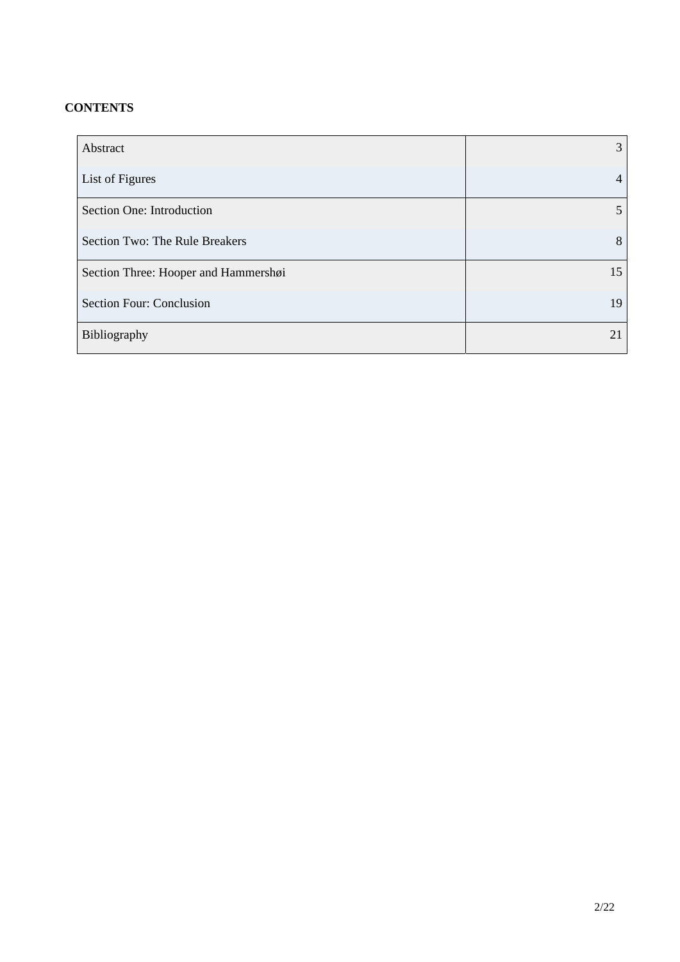# **CONTENTS**

| Abstract                             | 3  |
|--------------------------------------|----|
| List of Figures                      | 4  |
| Section One: Introduction            | 5. |
| Section Two: The Rule Breakers       | 8  |
| Section Three: Hooper and Hammershøi | 15 |
| Section Four: Conclusion             | 19 |
| Bibliography                         | 21 |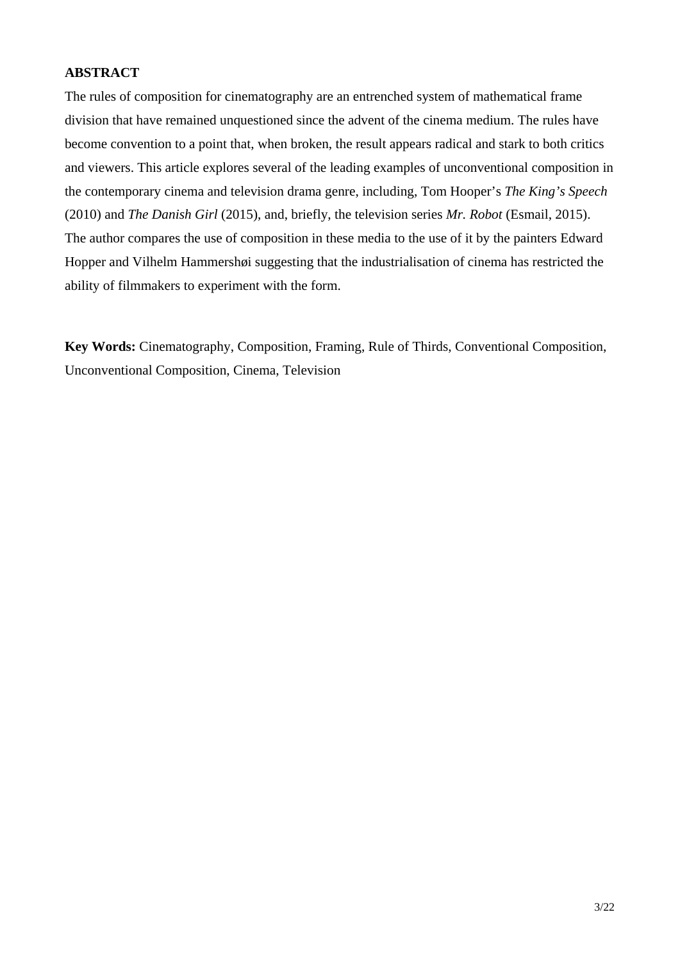# **ABSTRACT**

The rules of composition for cinematography are an entrenched system of mathematical frame division that have remained unquestioned since the advent of the cinema medium. The rules have become convention to a point that, when broken, the result appears radical and stark to both critics and viewers. This article explores several of the leading examples of unconventional composition in the contemporary cinema and television drama genre, including, Tom Hooper's *The King's Speech* (2010) and *The Danish Girl* (2015), and, briefly, the television series *Mr. Robot* (Esmail, 2015). The author compares the use of composition in these media to the use of it by the painters Edward Hopper and Vilhelm Hammershøi suggesting that the industrialisation of cinema has restricted the ability of filmmakers to experiment with the form.

**Key Words:** Cinematography, Composition, Framing, Rule of Thirds, Conventional Composition, Unconventional Composition, Cinema, Television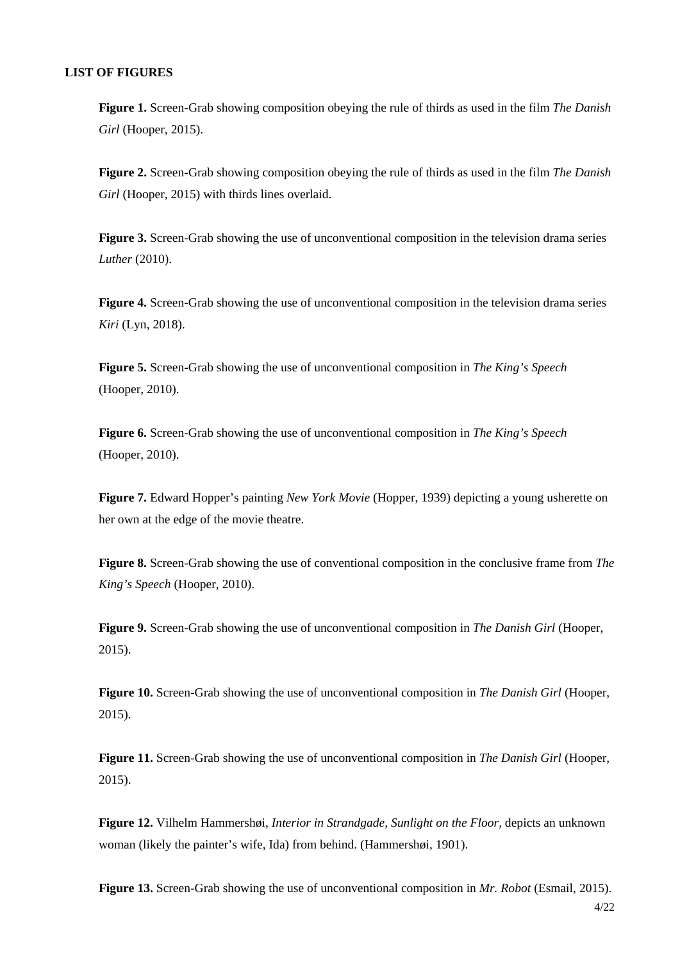### **LIST OF FIGURES**

**Figure 1.** Screen-Grab showing composition obeying the rule of thirds as used in the film *The Danish Girl* (Hooper, 2015).

**Figure 2.** Screen-Grab showing composition obeying the rule of thirds as used in the film *The Danish Girl* (Hooper, 2015) with thirds lines overlaid.

**Figure 3.** Screen-Grab showing the use of unconventional composition in the television drama series *Luther* (2010).

**Figure 4.** Screen-Grab showing the use of unconventional composition in the television drama series *Kiri* (Lyn, 2018).

**Figure 5.** Screen-Grab showing the use of unconventional composition in *The King's Speech*  (Hooper, 2010).

**Figure 6.** Screen-Grab showing the use of unconventional composition in *The King's Speech*  (Hooper, 2010).

**Figure 7.** Edward Hopper's painting *New York Movie* (Hopper, 1939) depicting a young usherette on her own at the edge of the movie theatre.

**Figure 8.** Screen-Grab showing the use of conventional composition in the conclusive frame from *The King's Speech* (Hooper, 2010).

**Figure 9.** Screen-Grab showing the use of unconventional composition in *The Danish Girl* (Hooper, 2015).

**Figure 10.** Screen-Grab showing the use of unconventional composition in *The Danish Girl* (Hooper, 2015).

**Figure 11.** Screen-Grab showing the use of unconventional composition in *The Danish Girl* (Hooper, 2015).

**Figure 12.** Vilhelm Hammershøi, *Interior in Strandgade, Sunlight on the Floor,* depicts an unknown woman (likely the painter's wife, Ida) from behind. (Hammershøi, 1901).

**Figure 13.** Screen-Grab showing the use of unconventional composition in *Mr. Robot* (Esmail, 2015).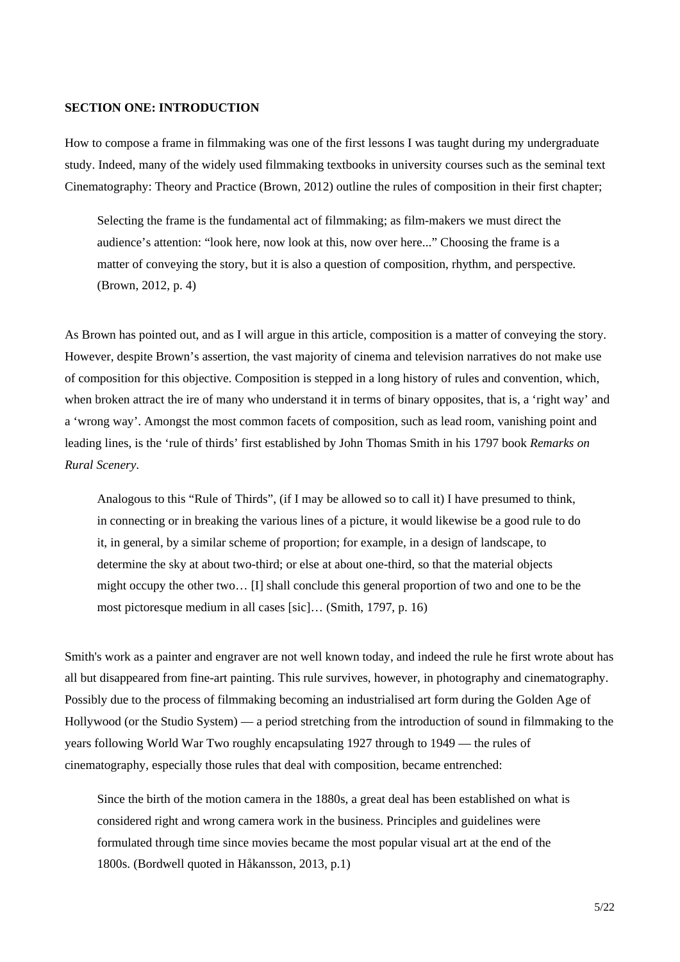#### **SECTION ONE: INTRODUCTION**

How to compose a frame in filmmaking was one of the first lessons I was taught during my undergraduate study. Indeed, many of the widely used filmmaking textbooks in university courses such as the seminal text Cinematography: Theory and Practice (Brown, 2012) outline the rules of composition in their first chapter;

Selecting the frame is the fundamental act of filmmaking; as film-makers we must direct the audience's attention: "look here, now look at this, now over here..." Choosing the frame is a matter of conveying the story, but it is also a question of composition, rhythm, and perspective*.*  (Brown, 2012, p. 4)

As Brown has pointed out, and as I will argue in this article, composition is a matter of conveying the story. However, despite Brown's assertion, the vast majority of cinema and television narratives do not make use of composition for this objective. Composition is stepped in a long history of rules and convention, which, when broken attract the ire of many who understand it in terms of binary opposites, that is, a 'right way' and a 'wrong way'. Amongst the most common facets of composition, such as lead room, vanishing point and leading lines, is the 'rule of thirds' first established by John Thomas Smith in his 1797 book *Remarks on Rural Scenery*.

Analogous to this "Rule of Thirds", (if I may be allowed so to call it) I have presumed to think, in connecting or in breaking the various lines of a picture, it would likewise be a good rule to do it, in general, by a similar scheme of proportion; for example, in a design of landscape, to determine the sky at about two-third; or else at about one-third, so that the material objects might occupy the other two… [I] shall conclude this general proportion of two and one to be the most pictoresque medium in all cases [sic]… (Smith, 1797, p. 16)

Smith's work as a painter and engraver are not well known today, and indeed the rule he first wrote about has all but disappeared from fine-art painting. This rule survives, however, in photography and cinematography. Possibly due to the process of filmmaking becoming an industrialised art form during the Golden Age of Hollywood (or the Studio System) — a period stretching from the introduction of sound in filmmaking to the years following World War Two roughly encapsulating 1927 through to 1949 — the rules of cinematography, especially those rules that deal with composition, became entrenched:

Since the birth of the motion camera in the 1880s, a great deal has been established on what is considered right and wrong camera work in the business. Principles and guidelines were formulated through time since movies became the most popular visual art at the end of the 1800s. (Bordwell quoted in Håkansson, 2013, p.1)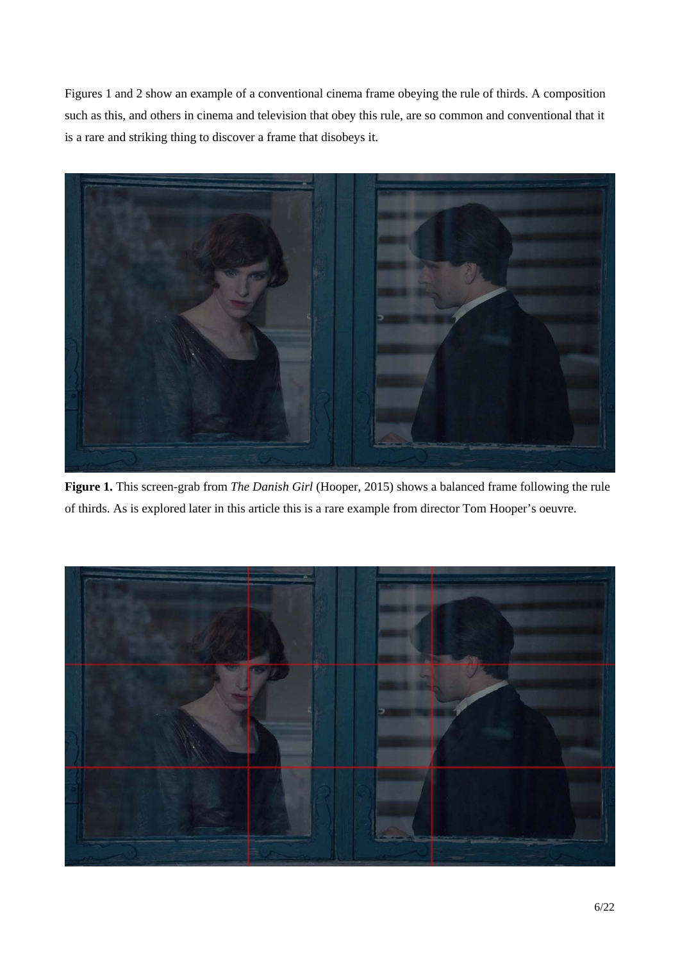Figures 1 and 2 show an example of a conventional cinema frame obeying the rule of thirds. A composition such as this, and others in cinema and television that obey this rule, are so common and conventional that it is a rare and striking thing to discover a frame that disobeys it.



**Figure 1.** This screen-grab from *The Danish Girl* (Hooper, 2015) shows a balanced frame following the rule of thirds. As is explored later in this article this is a rare example from director Tom Hooper's oeuvre.

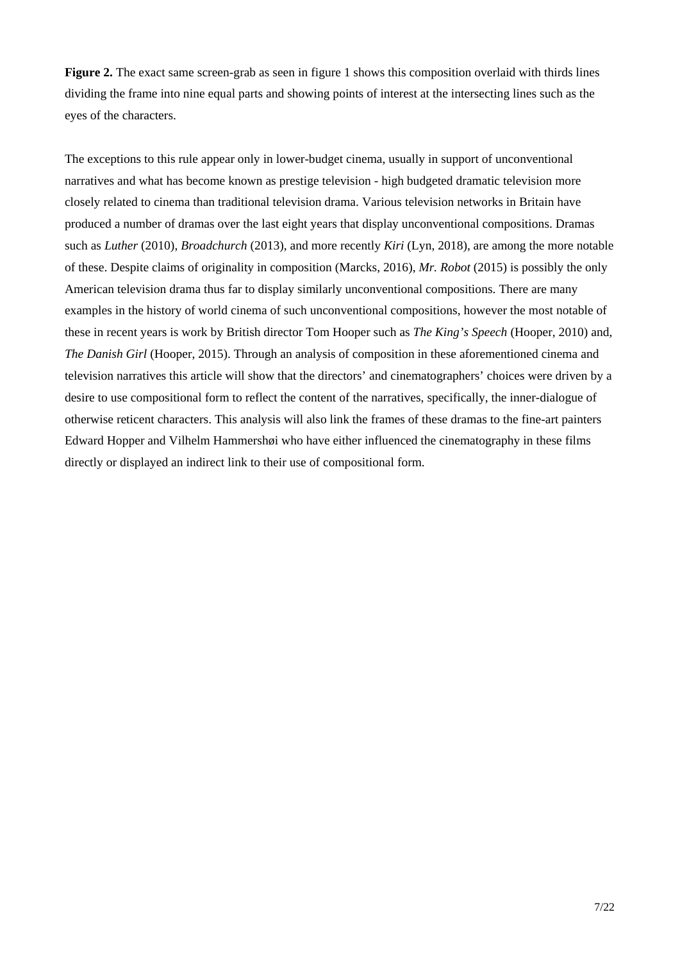**Figure 2.** The exact same screen-grab as seen in figure 1 shows this composition overlaid with thirds lines dividing the frame into nine equal parts and showing points of interest at the intersecting lines such as the eyes of the characters.

The exceptions to this rule appear only in lower-budget cinema, usually in support of unconventional narratives and what has become known as prestige television - high budgeted dramatic television more closely related to cinema than traditional television drama. Various television networks in Britain have produced a number of dramas over the last eight years that display unconventional compositions. Dramas such as *Luther* (2010), *Broadchurch* (2013), and more recently *Kiri* (Lyn, 2018), are among the more notable of these. Despite claims of originality in composition (Marcks, 2016), *Mr. Robot* (2015) is possibly the only American television drama thus far to display similarly unconventional compositions. There are many examples in the history of world cinema of such unconventional compositions, however the most notable of these in recent years is work by British director Tom Hooper such as *The King's Speech* (Hooper, 2010) and, *The Danish Girl* (Hooper, 2015). Through an analysis of composition in these aforementioned cinema and television narratives this article will show that the directors' and cinematographers' choices were driven by a desire to use compositional form to reflect the content of the narratives, specifically, the inner-dialogue of otherwise reticent characters. This analysis will also link the frames of these dramas to the fine-art painters Edward Hopper and Vilhelm Hammershøi who have either influenced the cinematography in these films directly or displayed an indirect link to their use of compositional form.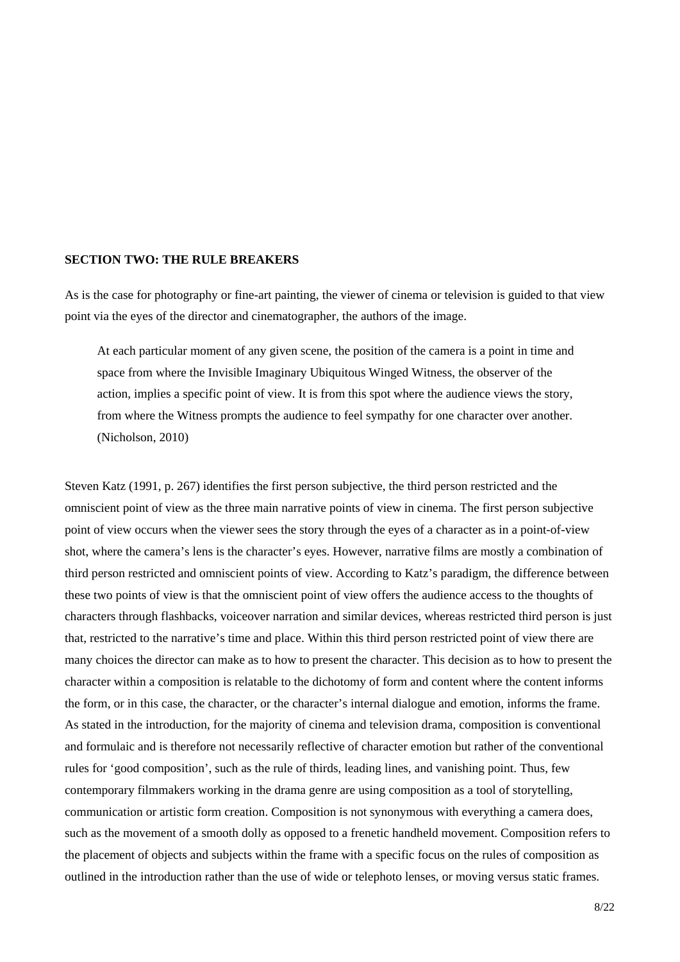## **SECTION TWO: THE RULE BREAKERS**

As is the case for photography or fine-art painting, the viewer of cinema or television is guided to that view point via the eyes of the director and cinematographer, the authors of the image.

At each particular moment of any given scene, the position of the camera is a point in time and space from where the Invisible Imaginary Ubiquitous Winged Witness, the observer of the action, implies a specific point of view. It is from this spot where the audience views the story, from where the Witness prompts the audience to feel sympathy for one character over another. (Nicholson, 2010)

Steven Katz (1991, p. 267) identifies the first person subjective, the third person restricted and the omniscient point of view as the three main narrative points of view in cinema. The first person subjective point of view occurs when the viewer sees the story through the eyes of a character as in a point-of-view shot, where the camera's lens is the character's eyes. However, narrative films are mostly a combination of third person restricted and omniscient points of view. According to Katz's paradigm, the difference between these two points of view is that the omniscient point of view offers the audience access to the thoughts of characters through flashbacks, voiceover narration and similar devices, whereas restricted third person is just that, restricted to the narrative's time and place. Within this third person restricted point of view there are many choices the director can make as to how to present the character. This decision as to how to present the character within a composition is relatable to the dichotomy of form and content where the content informs the form, or in this case, the character, or the character's internal dialogue and emotion, informs the frame. As stated in the introduction, for the majority of cinema and television drama, composition is conventional and formulaic and is therefore not necessarily reflective of character emotion but rather of the conventional rules for 'good composition', such as the rule of thirds, leading lines, and vanishing point. Thus, few contemporary filmmakers working in the drama genre are using composition as a tool of storytelling, communication or artistic form creation. Composition is not synonymous with everything a camera does, such as the movement of a smooth dolly as opposed to a frenetic handheld movement. Composition refers to the placement of objects and subjects within the frame with a specific focus on the rules of composition as outlined in the introduction rather than the use of wide or telephoto lenses, or moving versus static frames.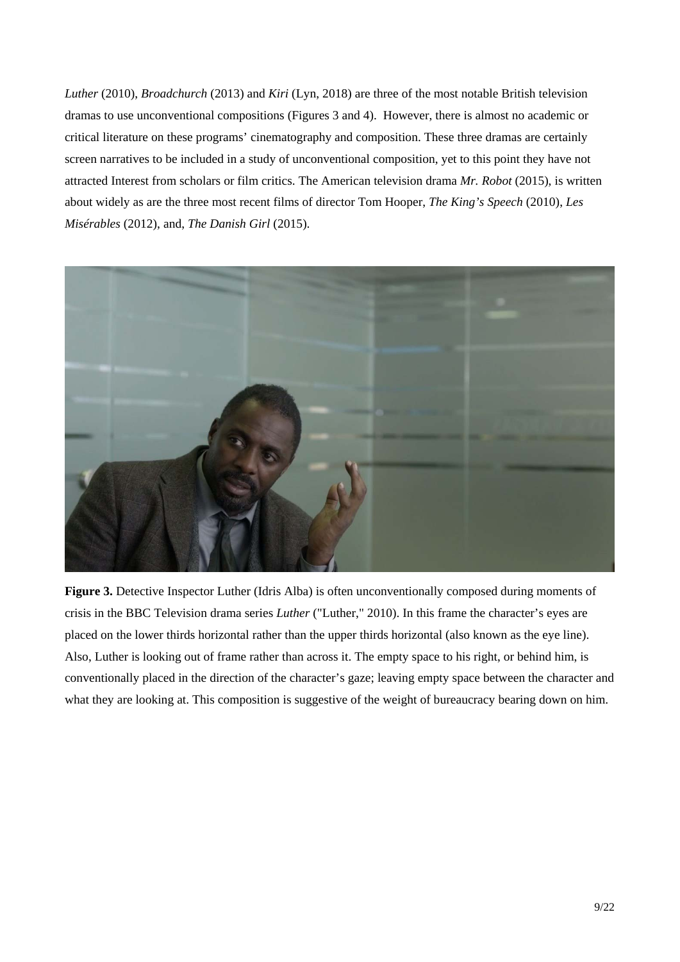*Luther* (2010), *Broadchurch* (2013) and *Kiri* (Lyn, 2018) are three of the most notable British television dramas to use unconventional compositions (Figures 3 and 4). However, there is almost no academic or critical literature on these programs' cinematography and composition. These three dramas are certainly screen narratives to be included in a study of unconventional composition, yet to this point they have not attracted Interest from scholars or film critics. The American television drama *Mr. Robot* (2015), is written about widely as are the three most recent films of director Tom Hooper, *The King's Speech* (2010), *Les Misérables* (2012), and, *The Danish Girl* (2015).



**Figure 3.** Detective Inspector Luther (Idris Alba) is often unconventionally composed during moments of crisis in the BBC Television drama series *Luther* ("Luther," 2010). In this frame the character's eyes are placed on the lower thirds horizontal rather than the upper thirds horizontal (also known as the eye line). Also, Luther is looking out of frame rather than across it. The empty space to his right, or behind him, is conventionally placed in the direction of the character's gaze; leaving empty space between the character and what they are looking at. This composition is suggestive of the weight of bureaucracy bearing down on him.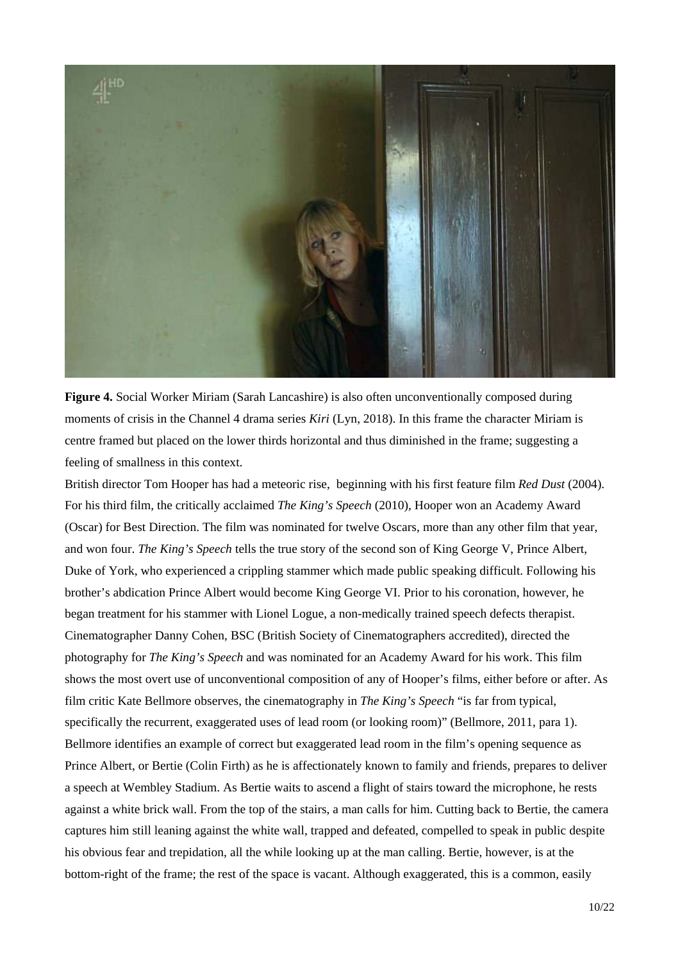

**Figure 4.** Social Worker Miriam (Sarah Lancashire) is also often unconventionally composed during moments of crisis in the Channel 4 drama series *Kiri* (Lyn, 2018). In this frame the character Miriam is centre framed but placed on the lower thirds horizontal and thus diminished in the frame; suggesting a feeling of smallness in this context.

British director Tom Hooper has had a meteoric rise, beginning with his first feature film *Red Dust* (2004). For his third film, the critically acclaimed *The King's Speech* (2010)*,* Hooper won an Academy Award (Oscar) for Best Direction. The film was nominated for twelve Oscars, more than any other film that year, and won four. *The King's Speech* tells the true story of the second son of King George V, Prince Albert, Duke of York, who experienced a crippling stammer which made public speaking difficult. Following his brother's abdication Prince Albert would become King George VI. Prior to his coronation, however, he began treatment for his stammer with Lionel Logue, a non-medically trained speech defects therapist. Cinematographer Danny Cohen, BSC (British Society of Cinematographers accredited), directed the photography for *The King's Speech* and was nominated for an Academy Award for his work. This film shows the most overt use of unconventional composition of any of Hooper's films, either before or after. As film critic Kate Bellmore observes, the cinematography in *The King's Speech* "is far from typical, specifically the recurrent, exaggerated uses of lead room (or looking room)" (Bellmore, 2011, para 1). Bellmore identifies an example of correct but exaggerated lead room in the film's opening sequence as Prince Albert, or Bertie (Colin Firth) as he is affectionately known to family and friends, prepares to deliver a speech at Wembley Stadium. As Bertie waits to ascend a flight of stairs toward the microphone, he rests against a white brick wall. From the top of the stairs, a man calls for him. Cutting back to Bertie, the camera captures him still leaning against the white wall, trapped and defeated, compelled to speak in public despite his obvious fear and trepidation, all the while looking up at the man calling. Bertie, however, is at the bottom-right of the frame; the rest of the space is vacant. Although exaggerated, this is a common, easily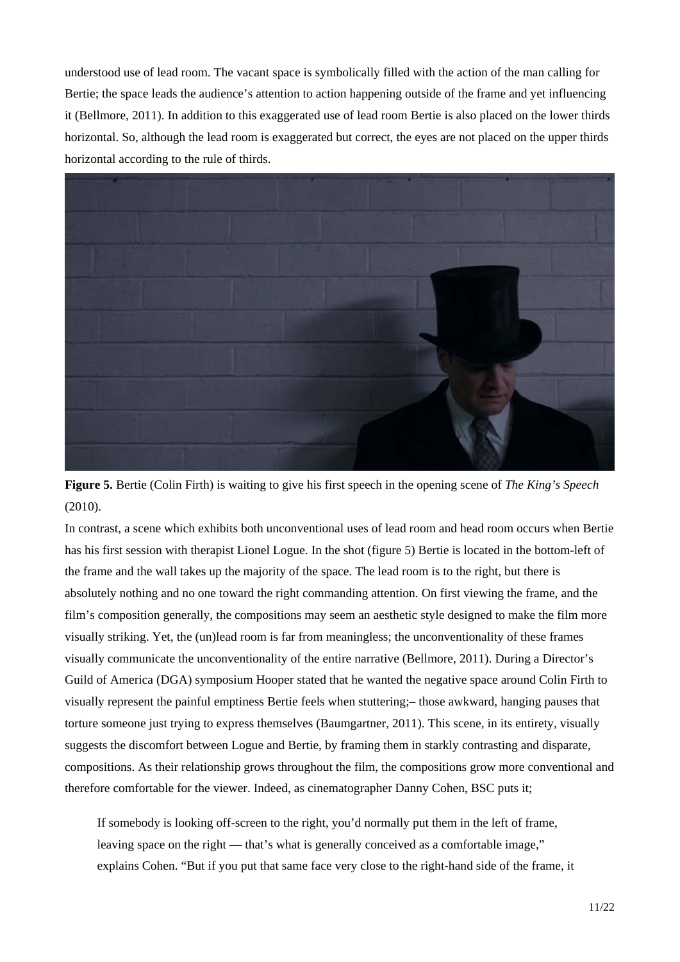understood use of lead room. The vacant space is symbolically filled with the action of the man calling for Bertie; the space leads the audience's attention to action happening outside of the frame and yet influencing it (Bellmore, 2011). In addition to this exaggerated use of lead room Bertie is also placed on the lower thirds horizontal. So, although the lead room is exaggerated but correct, the eyes are not placed on the upper thirds horizontal according to the rule of thirds.



**Figure 5.** Bertie (Colin Firth) is waiting to give his first speech in the opening scene of *The King's Speech* (2010).

In contrast, a scene which exhibits both unconventional uses of lead room and head room occurs when Bertie has his first session with therapist Lionel Logue. In the shot (figure 5) Bertie is located in the bottom-left of the frame and the wall takes up the majority of the space. The lead room is to the right, but there is absolutely nothing and no one toward the right commanding attention. On first viewing the frame, and the film's composition generally, the compositions may seem an aesthetic style designed to make the film more visually striking. Yet, the (un)lead room is far from meaningless; the unconventionality of these frames visually communicate the unconventionality of the entire narrative (Bellmore, 2011). During a Director's Guild of America (DGA) symposium Hooper stated that he wanted the negative space around Colin Firth to visually represent the painful emptiness Bertie feels when stuttering;– those awkward, hanging pauses that torture someone just trying to express themselves (Baumgartner, 2011). This scene, in its entirety, visually suggests the discomfort between Logue and Bertie, by framing them in starkly contrasting and disparate, compositions. As their relationship grows throughout the film, the compositions grow more conventional and therefore comfortable for the viewer. Indeed, as cinematographer Danny Cohen, BSC puts it;

If somebody is looking off-screen to the right, you'd normally put them in the left of frame, leaving space on the right — that's what is generally conceived as a comfortable image," explains Cohen. "But if you put that same face very close to the right-hand side of the frame, it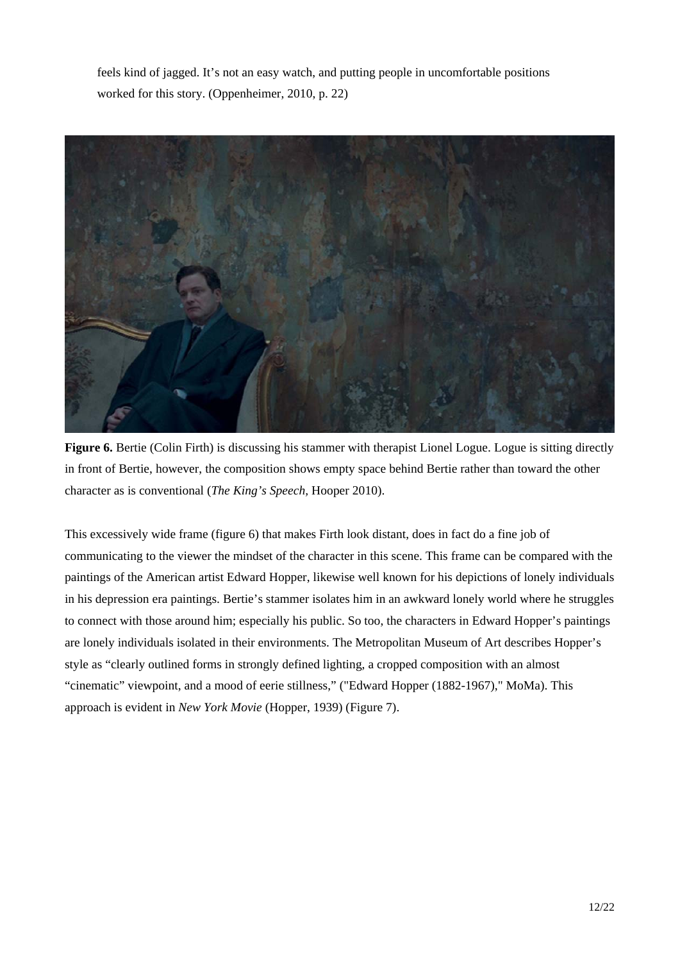feels kind of jagged. It's not an easy watch, and putting people in uncomfortable positions worked for this story. (Oppenheimer, 2010, p. 22)



**Figure 6.** Bertie (Colin Firth) is discussing his stammer with therapist Lionel Logue. Logue is sitting directly in front of Bertie, however, the composition shows empty space behind Bertie rather than toward the other character as is conventional (*The King's Speech,* Hooper 2010).

This excessively wide frame (figure 6) that makes Firth look distant, does in fact do a fine job of communicating to the viewer the mindset of the character in this scene. This frame can be compared with the paintings of the American artist Edward Hopper, likewise well known for his depictions of lonely individuals in his depression era paintings. Bertie's stammer isolates him in an awkward lonely world where he struggles to connect with those around him; especially his public. So too, the characters in Edward Hopper's paintings are lonely individuals isolated in their environments. The Metropolitan Museum of Art describes Hopper's style as "clearly outlined forms in strongly defined lighting, a cropped composition with an almost "cinematic" viewpoint, and a mood of eerie stillness," ("Edward Hopper (1882-1967)," MoMa). This approach is evident in *New York Movie* (Hopper, 1939) (Figure 7).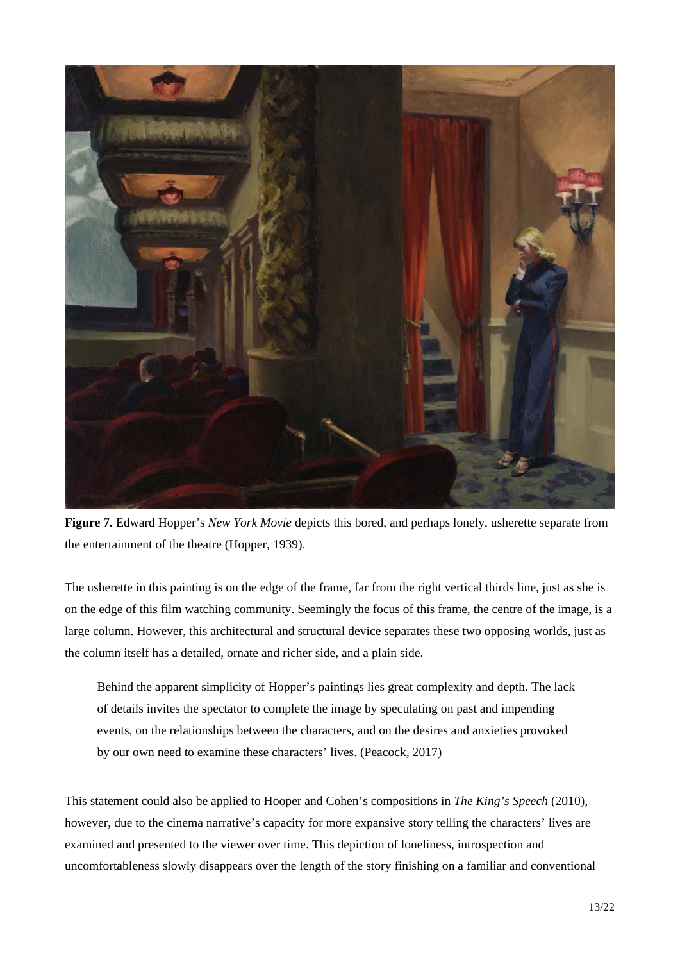

**Figure 7.** Edward Hopper's *New York Movie* depicts this bored, and perhaps lonely, usherette separate from the entertainment of the theatre (Hopper, 1939).

The usherette in this painting is on the edge of the frame, far from the right vertical thirds line, just as she is on the edge of this film watching community. Seemingly the focus of this frame, the centre of the image, is a large column. However, this architectural and structural device separates these two opposing worlds, just as the column itself has a detailed, ornate and richer side, and a plain side.

Behind the apparent simplicity of Hopper's paintings lies great complexity and depth. The lack of details invites the spectator to complete the image by speculating on past and impending events, on the relationships between the characters, and on the desires and anxieties provoked by our own need to examine these characters' lives. (Peacock, 2017)

This statement could also be applied to Hooper and Cohen's compositions in *The King's Speech* (2010), however, due to the cinema narrative's capacity for more expansive story telling the characters' lives are examined and presented to the viewer over time. This depiction of loneliness, introspection and uncomfortableness slowly disappears over the length of the story finishing on a familiar and conventional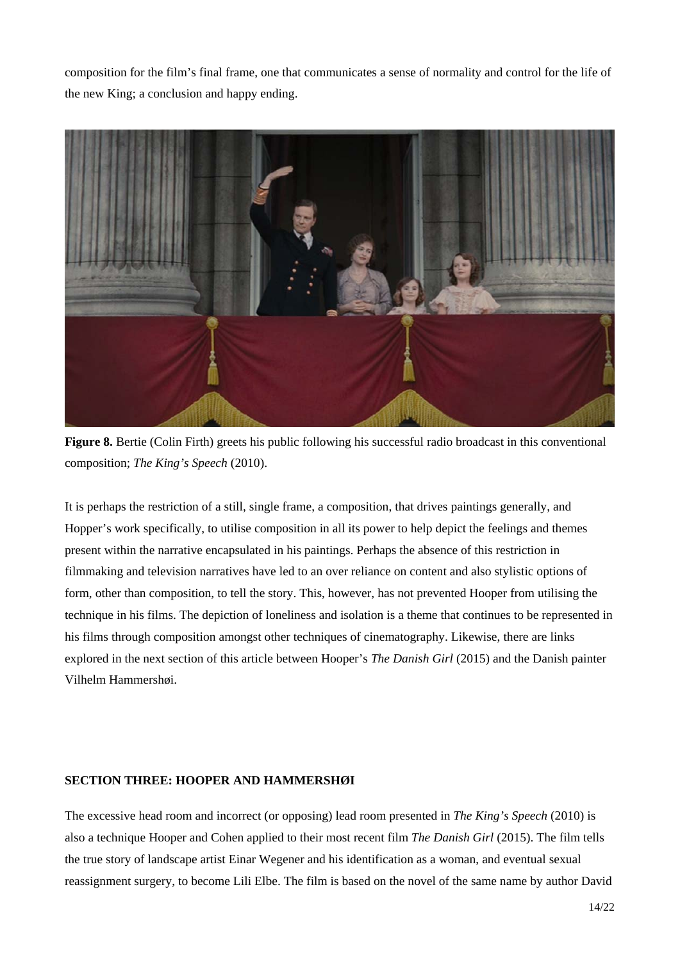composition for the film's final frame, one that communicates a sense of normality and control for the life of the new King; a conclusion and happy ending.



**Figure 8.** Bertie (Colin Firth) greets his public following his successful radio broadcast in this conventional composition; *The King's Speech* (2010).

It is perhaps the restriction of a still, single frame, a composition, that drives paintings generally, and Hopper's work specifically, to utilise composition in all its power to help depict the feelings and themes present within the narrative encapsulated in his paintings. Perhaps the absence of this restriction in filmmaking and television narratives have led to an over reliance on content and also stylistic options of form, other than composition, to tell the story. This, however, has not prevented Hooper from utilising the technique in his films. The depiction of loneliness and isolation is a theme that continues to be represented in his films through composition amongst other techniques of cinematography. Likewise, there are links explored in the next section of this article between Hooper's *The Danish Girl* (2015) and the Danish painter Vilhelm Hammershøi.

#### **SECTION THREE: HOOPER AND HAMMERSHØI**

The excessive head room and incorrect (or opposing) lead room presented in *The King's Speech* (2010) is also a technique Hooper and Cohen applied to their most recent film *The Danish Girl* (2015). The film tells the true story of landscape artist Einar Wegener and his identification as a woman, and eventual sexual reassignment surgery, to become Lili Elbe. The film is based on the novel of the same name by author David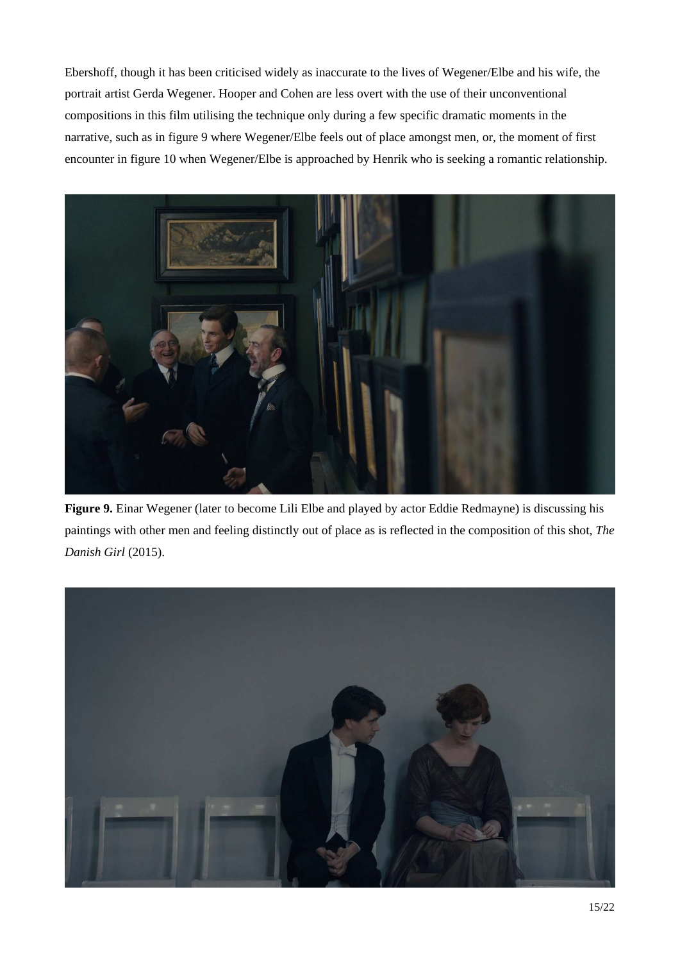Ebershoff, though it has been criticised widely as inaccurate to the lives of Wegener/Elbe and his wife, the portrait artist Gerda Wegener. Hooper and Cohen are less overt with the use of their unconventional compositions in this film utilising the technique only during a few specific dramatic moments in the narrative, such as in figure 9 where Wegener/Elbe feels out of place amongst men, or, the moment of first encounter in figure 10 when Wegener/Elbe is approached by Henrik who is seeking a romantic relationship.



**Figure 9.** Einar Wegener (later to become Lili Elbe and played by actor Eddie Redmayne) is discussing his paintings with other men and feeling distinctly out of place as is reflected in the composition of this shot, *The Danish Girl* (2015).

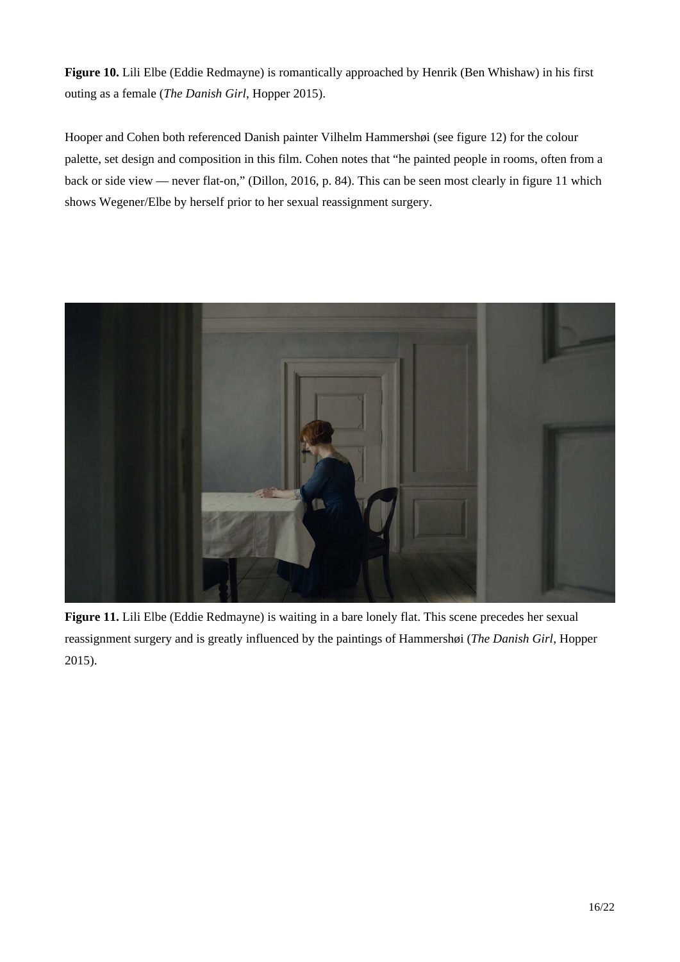**Figure 10.** Lili Elbe (Eddie Redmayne) is romantically approached by Henrik (Ben Whishaw) in his first outing as a female (*The Danish Girl*, Hopper 2015).

Hooper and Cohen both referenced Danish painter Vilhelm Hammershøi (see figure 12) for the colour palette, set design and composition in this film. Cohen notes that "he painted people in rooms, often from a back or side view — never flat-on," (Dillon, 2016, p. 84). This can be seen most clearly in figure 11 which shows Wegener/Elbe by herself prior to her sexual reassignment surgery.



**Figure 11.** Lili Elbe (Eddie Redmayne) is waiting in a bare lonely flat. This scene precedes her sexual reassignment surgery and is greatly influenced by the paintings of Hammershøi (*The Danish Girl*, Hopper 2015).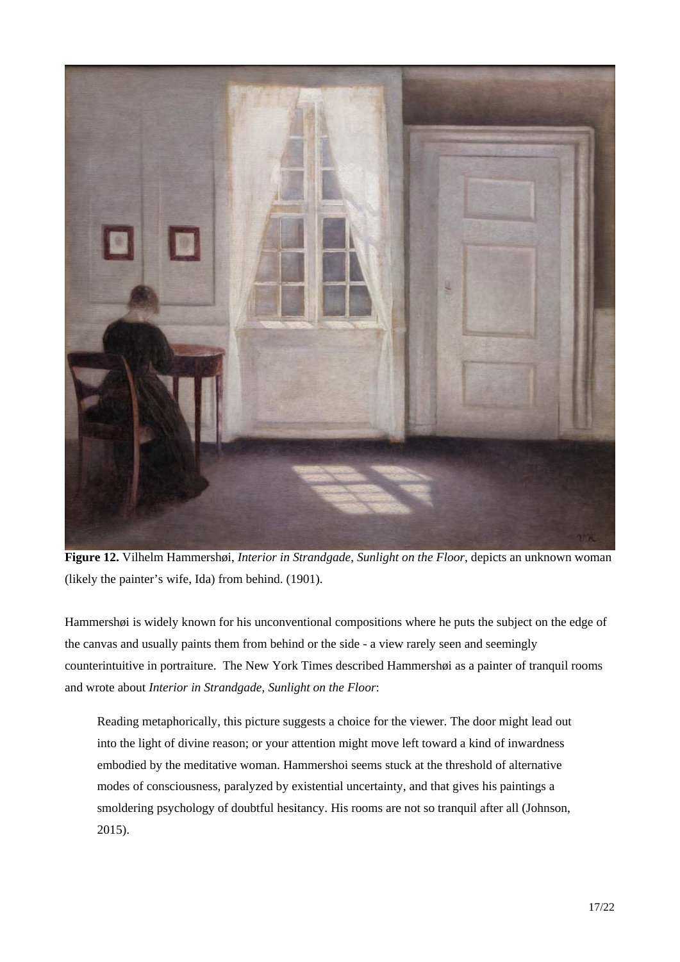

**Figure 12.** Vilhelm Hammershøi, *Interior in Strandgade*, *Sunlight on the Floor*, depicts an unknown woman (likely the painter's wife, Ida) from behind. (1901).

Hammershøi is widely known for his unconventional compositions where he puts the subject on the edge of the canvas and usually paints them from behind or the side - a view rarely seen and seemingly counterintuitive in portraiture. The New York Times described Hammershøi as a painter of tranquil rooms and wrote about *Interior in Strandgade, Sunlight on the Floor*:

Reading metaphorically, this picture suggests a choice for the viewer. The door might lead out into the light of divine reason; or your attention might move left toward a kind of inwardness embodied by the meditative woman. Hammershoi seems stuck at the threshold of alternative modes of consciousness, paralyzed by existential uncertainty, and that gives his paintings a smoldering psychology of doubtful hesitancy. His rooms are not so tranquil after all (Johnson, 2015).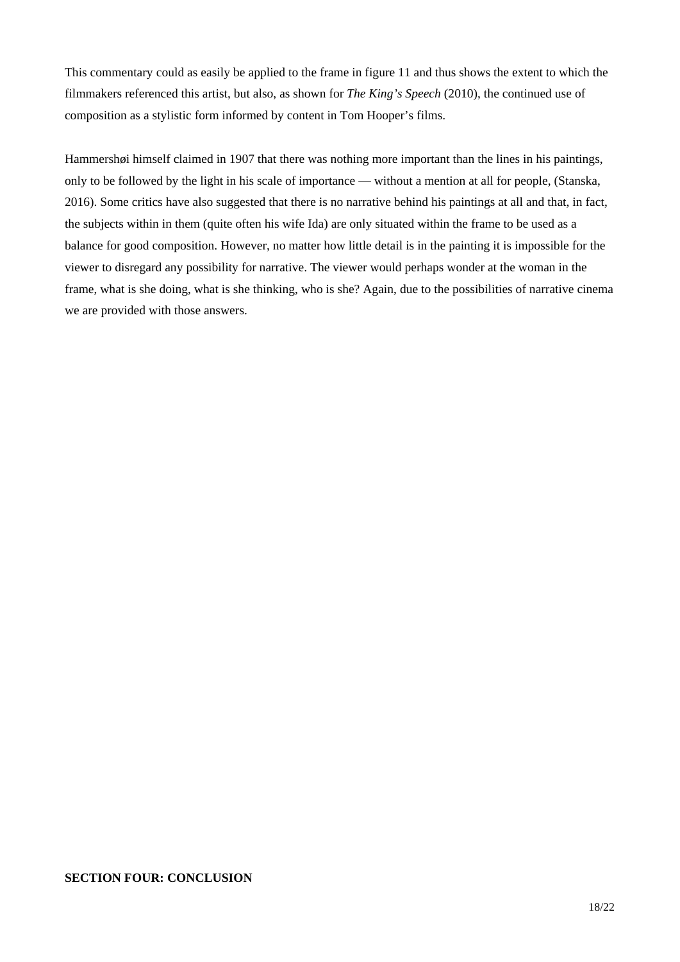This commentary could as easily be applied to the frame in figure 11 and thus shows the extent to which the filmmakers referenced this artist, but also, as shown for *The King's Speech* (2010), the continued use of composition as a stylistic form informed by content in Tom Hooper's films.

Hammershøi himself claimed in 1907 that there was nothing more important than the lines in his paintings, only to be followed by the light in his scale of importance — without a mention at all for people, (Stanska, 2016). Some critics have also suggested that there is no narrative behind his paintings at all and that, in fact, the subjects within in them (quite often his wife Ida) are only situated within the frame to be used as a balance for good composition. However, no matter how little detail is in the painting it is impossible for the viewer to disregard any possibility for narrative. The viewer would perhaps wonder at the woman in the frame, what is she doing, what is she thinking, who is she? Again, due to the possibilities of narrative cinema we are provided with those answers.

## **SECTION FOUR: CONCLUSION**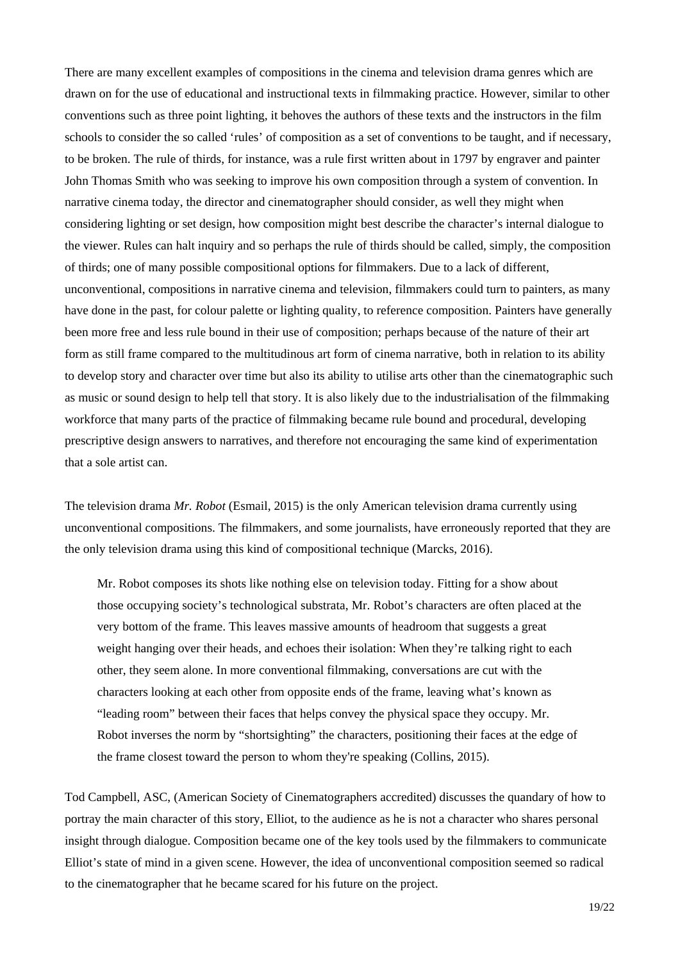There are many excellent examples of compositions in the cinema and television drama genres which are drawn on for the use of educational and instructional texts in filmmaking practice. However, similar to other conventions such as three point lighting, it behoves the authors of these texts and the instructors in the film schools to consider the so called 'rules' of composition as a set of conventions to be taught, and if necessary, to be broken. The rule of thirds, for instance, was a rule first written about in 1797 by engraver and painter John Thomas Smith who was seeking to improve his own composition through a system of convention. In narrative cinema today, the director and cinematographer should consider, as well they might when considering lighting or set design, how composition might best describe the character's internal dialogue to the viewer. Rules can halt inquiry and so perhaps the rule of thirds should be called, simply, the composition of thirds; one of many possible compositional options for filmmakers. Due to a lack of different, unconventional, compositions in narrative cinema and television, filmmakers could turn to painters, as many have done in the past, for colour palette or lighting quality, to reference composition. Painters have generally been more free and less rule bound in their use of composition; perhaps because of the nature of their art form as still frame compared to the multitudinous art form of cinema narrative, both in relation to its ability to develop story and character over time but also its ability to utilise arts other than the cinematographic such as music or sound design to help tell that story. It is also likely due to the industrialisation of the filmmaking workforce that many parts of the practice of filmmaking became rule bound and procedural, developing prescriptive design answers to narratives, and therefore not encouraging the same kind of experimentation that a sole artist can.

The television drama *Mr. Robot* (Esmail, 2015) is the only American television drama currently using unconventional compositions. The filmmakers, and some journalists, have erroneously reported that they are the only television drama using this kind of compositional technique (Marcks, 2016).

Mr. Robot composes its shots like nothing else on television today. Fitting for a show about those occupying society's technological substrata, Mr. Robot's characters are often placed at the very bottom of the frame. This leaves massive amounts of headroom that suggests a great weight hanging over their heads, and echoes their isolation: When they're talking right to each other, they seem alone. In more conventional filmmaking, conversations are cut with the characters looking at each other from opposite ends of the frame, leaving what's known as "leading room" between their faces that helps convey the physical space they occupy. Mr. Robot inverses the norm by "shortsighting" the characters, positioning their faces at the edge of the frame closest toward the person to whom they're speaking (Collins, 2015).

Tod Campbell, ASC, (American Society of Cinematographers accredited) discusses the quandary of how to portray the main character of this story, Elliot, to the audience as he is not a character who shares personal insight through dialogue. Composition became one of the key tools used by the filmmakers to communicate Elliot's state of mind in a given scene. However, the idea of unconventional composition seemed so radical to the cinematographer that he became scared for his future on the project.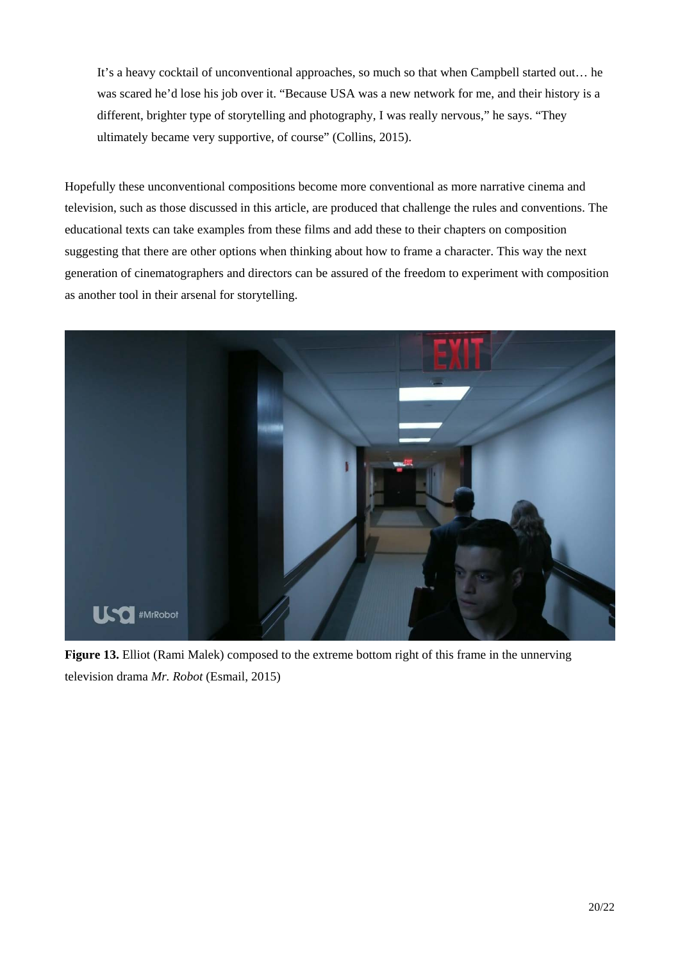It's a heavy cocktail of unconventional approaches, so much so that when Campbell started out… he was scared he'd lose his job over it. "Because USA was a new network for me, and their history is a different, brighter type of storytelling and photography, I was really nervous," he says. "They ultimately became very supportive, of course" (Collins, 2015).

Hopefully these unconventional compositions become more conventional as more narrative cinema and television, such as those discussed in this article, are produced that challenge the rules and conventions. The educational texts can take examples from these films and add these to their chapters on composition suggesting that there are other options when thinking about how to frame a character. This way the next generation of cinematographers and directors can be assured of the freedom to experiment with composition as another tool in their arsenal for storytelling.



**Figure 13.** Elliot (Rami Malek) composed to the extreme bottom right of this frame in the unnerving television drama *Mr. Robot* (Esmail, 2015)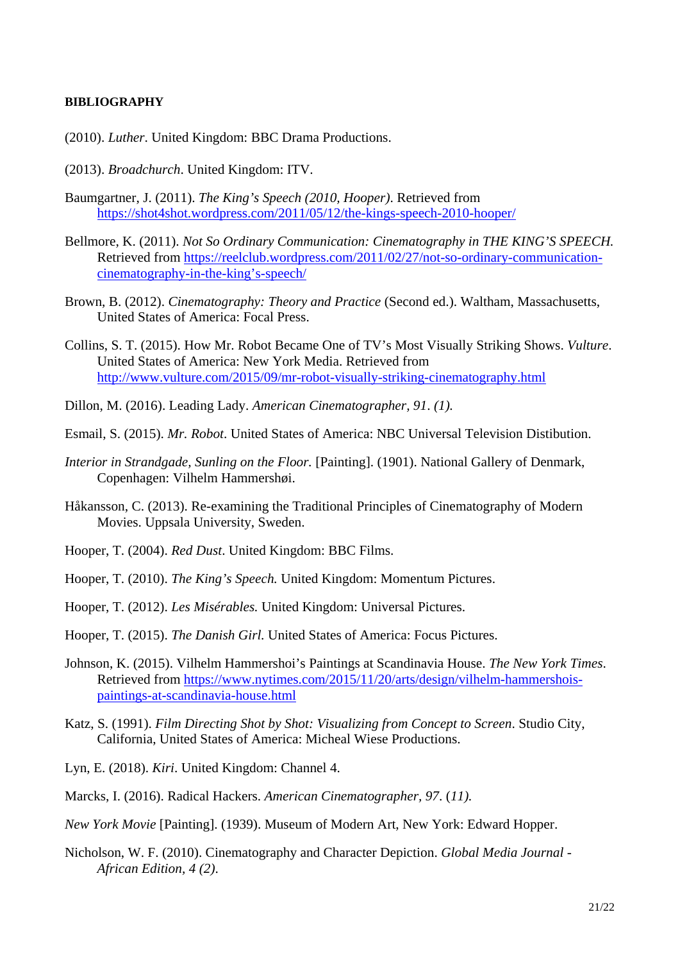# **BIBLIOGRAPHY**

- (2010). *Luther*. United Kingdom: BBC Drama Productions.
- (2013). *Broadchurch*. United Kingdom: ITV.
- Baumgartner, J. (2011). *The King's Speech (2010, Hooper)*. Retrieved from https://shot4shot.wordpress.com/2011/05/12/the-kings-speech-2010-hooper/
- Bellmore, K. (2011). *Not So Ordinary Communication: Cinematography in THE KING'S SPEECH.*  Retrieved from https://reelclub.wordpress.com/2011/02/27/not-so-ordinary-communicationcinematography-in-the-king's-speech/
- Brown, B. (2012). *Cinematography: Theory and Practice* (Second ed.). Waltham, Massachusetts, United States of America: Focal Press.
- Collins, S. T. (2015). How Mr. Robot Became One of TV's Most Visually Striking Shows. *Vulture*. United States of America: New York Media. Retrieved from http://www.vulture.com/2015/09/mr-robot-visually-striking-cinematography.html
- Dillon, M. (2016). Leading Lady. *American Cinematographer, 91*. *(1).*
- Esmail, S. (2015). *Mr. Robot*. United States of America: NBC Universal Television Distibution.
- *Interior in Strandgade, Sunling on the Floor.* [Painting]. (1901). National Gallery of Denmark, Copenhagen: Vilhelm Hammershøi.
- Håkansson, C. (2013). Re-examining the Traditional Principles of Cinematography of Modern Movies. Uppsala University, Sweden.
- Hooper, T. (2004). *Red Dust*. United Kingdom: BBC Films.
- Hooper, T. (2010). *The King's Speech.* United Kingdom: Momentum Pictures.
- Hooper, T. (2012). *Les Misérables.* United Kingdom: Universal Pictures.
- Hooper, T. (2015). *The Danish Girl.* United States of America: Focus Pictures.
- Johnson, K. (2015). Vilhelm Hammershoi's Paintings at Scandinavia House. *The New York Times*. Retrieved from https://www.nytimes.com/2015/11/20/arts/design/vilhelm-hammershoispaintings-at-scandinavia-house.html
- Katz, S. (1991). *Film Directing Shot by Shot: Visualizing from Concept to Screen*. Studio City, California, United States of America: Micheal Wiese Productions.
- Lyn, E. (2018). *Kiri*. United Kingdom: Channel 4.
- Marcks, I. (2016). Radical Hackers. *American Cinematographer, 97*. (*11).*
- *New York Movie* [Painting]. (1939). Museum of Modern Art, New York: Edward Hopper.
- Nicholson, W. F. (2010). Cinematography and Character Depiction. *Global Media Journal African Edition, 4 (2)*.